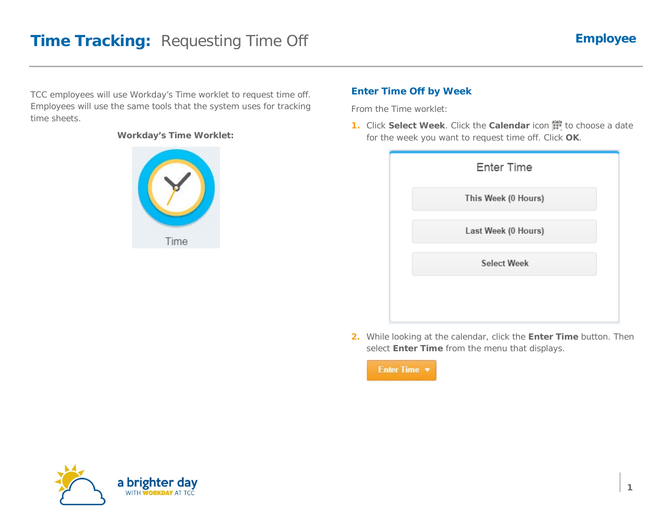TCC employees will use Workday's Time worklet to request time off. Employees will use the same tools that the system uses for tracking time sheets.

#### **Workday's Time Worklet:**



## **Enter Time Off by Week**

From the Time worklet:

**1.** Click Select Week. Click the Calendar icon the to choose a date for the week you want to request time off. Click **OK**.

| <b>Enter Time</b>   |  |
|---------------------|--|
| This Week (0 Hours) |  |
| Last Week (0 Hours) |  |
| <b>Select Week</b>  |  |
|                     |  |

**2.** While looking at the calendar, click the **Enter Time** button. Then select **Enter Time** from the menu that displays.



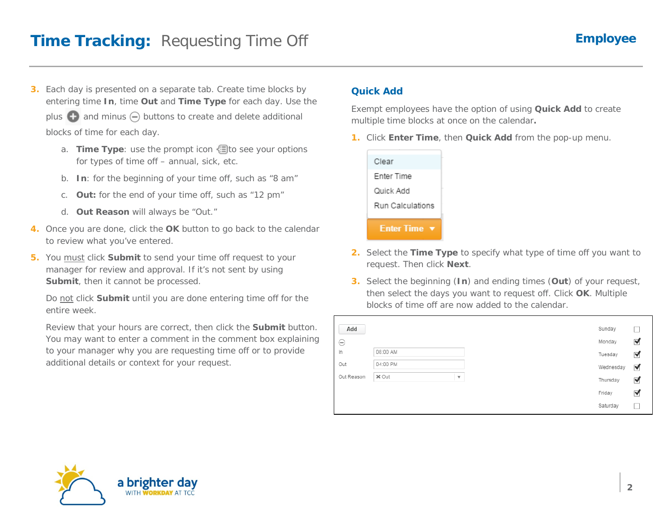**3.** Each day is presented on a separate tab. Create time blocks by entering time **In**, time **Out** and **Time Type** for each day. Use the

plus  $\bigoplus$  and minus  $\bigoplus$  buttons to create and delete additional blocks of time for each day.

- a. **Time Type**: use the prompt icon **the seam** your options for types of time off – annual, sick, etc.
- b. **In**: for the beginning of your time off, such as "8 am"
- c. **Out:** for the end of your time off, such as "12 pm"
- d. **Out Reason** will always be "Out."
- **4.** Once you are done, click the **OK** button to go back to the calendar to review what you've entered.
- **5.** You must click **Submit** to send your time off request to your manager for review and approval. If it's not sent by using **Submit**, then it cannot be processed.

WITH **WORKDAY** AT TCC

Do not click **Submit** until you are done entering time off for the entire week.

Review that your hours are correct, then click the **Submit** button. You may want to enter a comment in the comment box explaining to your manager why you are requesting time off or to provide additional details or context for your request.

#### **Quick Add**

Exempt employees have the option of using **Quick Add** to create multiple time blocks at once on the calendar**.**

**1.** Click **Enter Time**, then **Quick Add** from the pop-up menu.



- **2.** Select the **Time Type** to specify what type of time off you want to request. Then click **Next**.
- **3.** Select the beginning (**In**) and ending times (**Out**) of your request, then select the days you want to request off. Click **OK**. Multiple blocks of time off are now added to the calendar.

| Add        |          |                         | Sunday    |   |
|------------|----------|-------------------------|-----------|---|
| ⊖          |          |                         | Monday    | ✔ |
| In         | 08:00 AM |                         | Tuesday   | ✔ |
| Out        | 04:00 PM |                         | Wednesday | ✔ |
| Out Reason | × Out    | $\overline{\mathbf{v}}$ | Thursday  | ✔ |
|            |          |                         | Friday    | ✔ |
|            |          |                         | Saturday  |   |

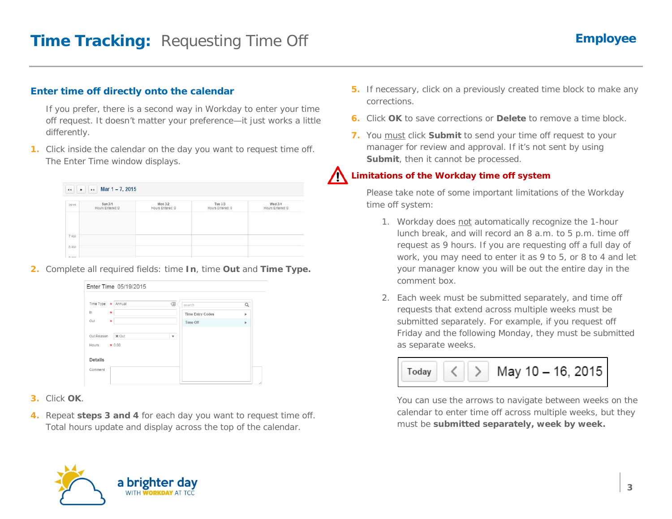### **Enter time off directly onto the calendar**

If you prefer, there is a second way in Workday to enter your time off request. It doesn't matter your preference—it just works a little differently.

**1.** Click inside the calendar on the day you want to request time off. The Enter Time window displays.

| Mar 1-7, 2015<br>.,<br>$\bullet$<br>$\ddot{\phantom{0}}$ |                             |                             |                             |                             |  |
|----------------------------------------------------------|-----------------------------|-----------------------------|-----------------------------|-----------------------------|--|
| 2015                                                     | Sun 3/1<br>Hours Entered: 0 | Mon 3/2<br>Hours Entered: 0 | Tue 3/3<br>Hours Entered: 0 | Wed 3/4<br>Hours Entered: 0 |  |
|                                                          |                             |                             |                             |                             |  |
| 7 AM                                                     |                             |                             |                             |                             |  |
| 8 AM                                                     |                             |                             |                             |                             |  |
| 0.111                                                    |                             |                             |                             |                             |  |

**2.** Complete all required fields: time **In**, time **Out** and **Time Type.**

| Time Type * Annual                    | 信<br>search             | $\alpha$ |
|---------------------------------------|-------------------------|----------|
| In<br>$\star$                         | <b>Time Entry Codes</b> | b.       |
| Out<br>$\star$                        | Time Off                | Þ        |
| Out Reason<br>X Out<br>Hours $* 0.00$ | $\overline{\mathbf{v}}$ |          |
| <b>Details</b>                        |                         |          |
| Comment                               |                         |          |
|                                       |                         |          |

- **3.** Click **OK**.
- **4.** Repeat **steps 3 and 4** for each day you want to request time off. Total hours update and display across the top of the calendar.
- **5.** If necessary, click on a previously created time block to make any corrections.
- **6.** Click **OK** to save corrections or **Delete** to remove a time block.
- **7.** You must click **Submit** to send your time off request to your manager for review and approval. If it's not sent by using **Submit**, then it cannot be processed.

# **Limitations of the Workday time off system**

Please take note of some important limitations of the Workday time off system:

- 1. Workday does not automatically recognize the 1-hour lunch break, and will record an 8 a.m. to 5 p.m. time off request as 9 hours. If you are requesting off a full day of work, you may need to enter it as 9 to 5, or 8 to 4 and let your manager know you will be out the entire day in the comment box.
- 2. Each week must be submitted separately, and time off requests that extend across multiple weeks must be submitted separately. For example, if you request off Friday and the following Monday, they must be submitted as separate weeks.

$$
\boxed{\text{Today}} \quad \boxed{\bigcirc}
$$
 May 10 – 16, 2015

You can use the arrows to navigate between weeks on the calendar to enter time off across multiple weeks, but they must be **submitted separately, week by week.**